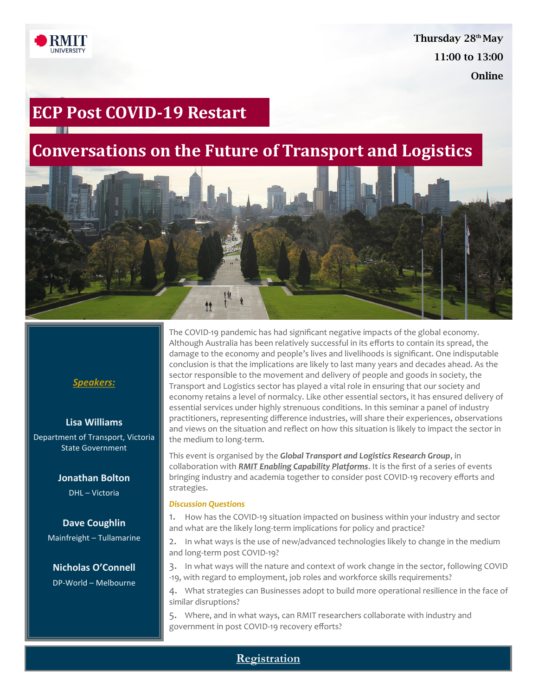

Thursday 28<sup>th</sup> May 11:00 to 13:00 **Online** 

# **ECP Post COVID-19 Restart**

# **Conversations on the Future of Transport and Logistics**



## *Speakers:*

#### **Lisa Williams**

Department of Transport, Victoria State Government

#### **Jonathan Bolton**

DHL – Victoria

# **Dave Coughlin**

Mainfreight – Tullamarine

**Nicholas O'Connell**  DP-World – Melbourne The COVID-19 pandemic has had significant negative impacts of the global economy. Although Australia has been relatively successful in its efforts to contain its spread, the damage to the economy and people's lives and livelihoods is significant. One indisputable conclusion is that the implications are likely to last many years and decades ahead. As the sector responsible to the movement and delivery of people and goods in society, the Transport and Logistics sector has played a vital role in ensuring that our society and economy retains a level of normalcy. Like other essential sectors, it has ensured delivery of essential services under highly strenuous conditions. In this seminar a panel of industry practitioners, representing difference industries, will share their experiences, observations and views on the situation and reflect on how this situation is likely to impact the sector in the medium to long-term.

This event is organised by the *Global Transport and Logistics Research Group*, in collaboration with *[RMIT Enabling Capability Platforms](https://www.rmit.edu.au/research/research-expertise/our-focus/enabling-capability-platforms)*. It is the first of a series of events bringing industry and academia together to consider post COVID-19 recovery efforts and strategies.

#### *Discussion Questions*

1. How has the COVID-19 situation impacted on business within your industry and sector and what are the likely long-term implications for policy and practice?

2. In what ways is the use of new/advanced technologies likely to change in the medium and long-term post COVID-19?

3. In what ways will the nature and context of work change in the sector, following COVID -19, with regard to employment, job roles and workforce skills requirements?

4. What strategies can Businesses adopt to build more operational resilience in the face of similar disruptions?

5. Where, and in what ways, can RMIT researchers collaborate with industry and government in post COVID-19 recovery efforts?